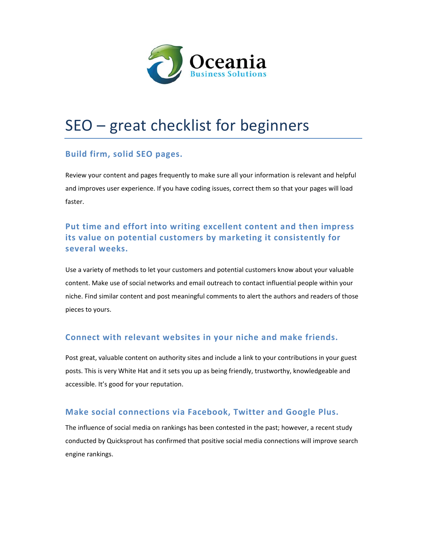

# SEO – great checklist for beginners

## **Build firm, solid SEO pages.**

Review your content and pages frequently to make sure all your information is relevant and helpful and improves user experience. If you have coding issues, correct them so that your pages will load faster.

# **Put time and effort into writing excellent content and then impress its value on potential customers by marketing it consistently for several weeks.**

Use a variety of methods to let your customers and potential customers know about your valuable content. Make use of social networks and email outreach to contact influential people within your niche. Find similar content and post meaningful comments to alert the authors and readers of those pieces to yours.

## **Connect with relevant websites in your niche and make friends.**

Post great, valuable content on authority sites and include a link to your contributions in your guest posts. This is very White Hat and it sets you up as being friendly, trustworthy, knowledgeable and accessible. It's good for your reputation.

### **Make social connections via Facebook, Twitter and Google Plus.**

The influence of social media on rankings has been contested in the past; however, a recent study conducted by Quicksprout has confirmed that positive social media connections will improve search engine rankings.